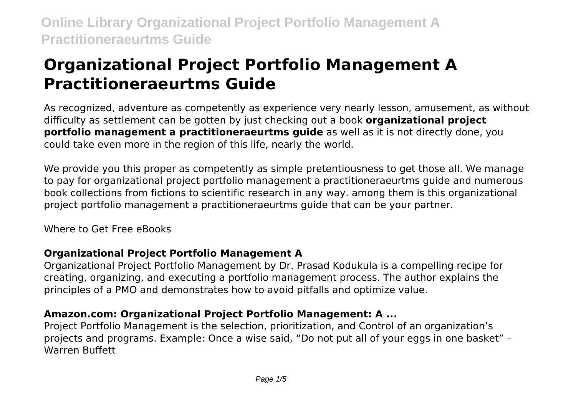# **Organizational Project Portfolio Management A Practitioneraeurtms Guide**

As recognized, adventure as competently as experience very nearly lesson, amusement, as without difficulty as settlement can be gotten by just checking out a book **organizational project portfolio management a practitioneraeurtms guide** as well as it is not directly done, you could take even more in the region of this life, nearly the world.

We provide you this proper as competently as simple pretentiousness to get those all. We manage to pay for organizational project portfolio management a practitioneraeurtms guide and numerous book collections from fictions to scientific research in any way. among them is this organizational project portfolio management a practitioneraeurtms guide that can be your partner.

Where to Get Free eBooks

### **Organizational Project Portfolio Management A**

Organizational Project Portfolio Management by Dr. Prasad Kodukula is a compelling recipe for creating, organizing, and executing a portfolio management process. The author explains the principles of a PMO and demonstrates how to avoid pitfalls and optimize value.

# **Amazon.com: Organizational Project Portfolio Management: A ...**

Project Portfolio Management is the selection, prioritization, and Control of an organization's projects and programs. Example: Once a wise said, "Do not put all of your eggs in one basket" – Warren Buffett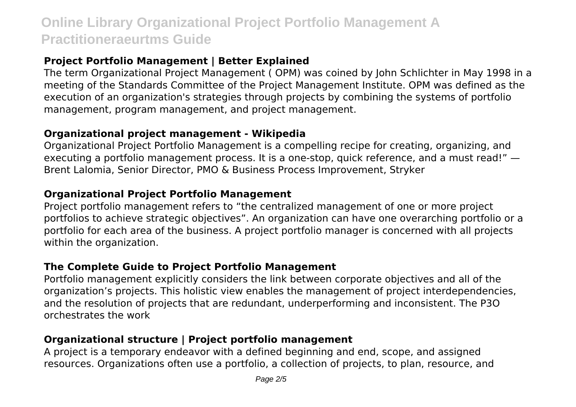### **Project Portfolio Management | Better Explained**

The term Organizational Project Management ( OPM) was coined by John Schlichter in May 1998 in a meeting of the Standards Committee of the Project Management Institute. OPM was defined as the execution of an organization's strategies through projects by combining the systems of portfolio management, program management, and project management.

#### **Organizational project management - Wikipedia**

Organizational Project Portfolio Management is a compelling recipe for creating, organizing, and executing a portfolio management process. It is a one-stop, quick reference, and a must read!" — Brent Lalomia, Senior Director, PMO & Business Process Improvement, Stryker

### **Organizational Project Portfolio Management**

Project portfolio management refers to "the centralized management of one or more project portfolios to achieve strategic objectives". An organization can have one overarching portfolio or a portfolio for each area of the business. A project portfolio manager is concerned with all projects within the organization.

### **The Complete Guide to Project Portfolio Management**

Portfolio management explicitly considers the link between corporate objectives and all of the organization's projects. This holistic view enables the management of project interdependencies, and the resolution of projects that are redundant, underperforming and inconsistent. The P3O orchestrates the work

# **Organizational structure | Project portfolio management**

A project is a temporary endeavor with a defined beginning and end, scope, and assigned resources. Organizations often use a portfolio, a collection of projects, to plan, resource, and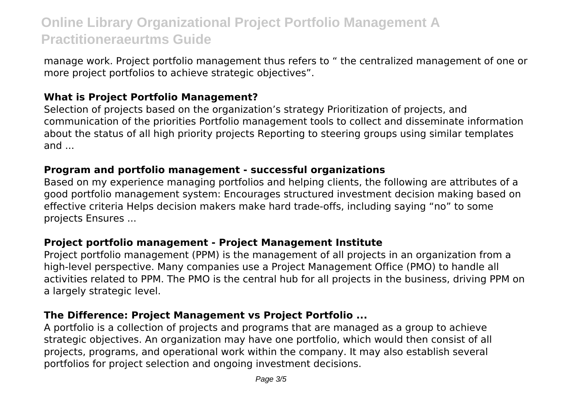manage work. Project portfolio management thus refers to " the centralized management of one or more project portfolios to achieve strategic objectives".

#### **What is Project Portfolio Management?**

Selection of projects based on the organization's strategy Prioritization of projects, and communication of the priorities Portfolio management tools to collect and disseminate information about the status of all high priority projects Reporting to steering groups using similar templates and ...

#### **Program and portfolio management - successful organizations**

Based on my experience managing portfolios and helping clients, the following are attributes of a good portfolio management system: Encourages structured investment decision making based on effective criteria Helps decision makers make hard trade-offs, including saying "no" to some projects Ensures ...

#### **Project portfolio management - Project Management Institute**

Project portfolio management (PPM) is the management of all projects in an organization from a high-level perspective. Many companies use a Project Management Office (PMO) to handle all activities related to PPM. The PMO is the central hub for all projects in the business, driving PPM on a largely strategic level.

#### **The Difference: Project Management vs Project Portfolio ...**

A portfolio is a collection of projects and programs that are managed as a group to achieve strategic objectives. An organization may have one portfolio, which would then consist of all projects, programs, and operational work within the company. It may also establish several portfolios for project selection and ongoing investment decisions.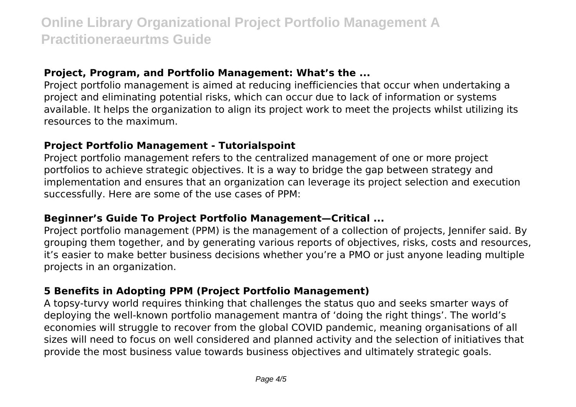#### **Project, Program, and Portfolio Management: What's the ...**

Project portfolio management is aimed at reducing inefficiencies that occur when undertaking a project and eliminating potential risks, which can occur due to lack of information or systems available. It helps the organization to align its project work to meet the projects whilst utilizing its resources to the maximum.

#### **Project Portfolio Management - Tutorialspoint**

Project portfolio management refers to the centralized management of one or more project portfolios to achieve strategic objectives. It is a way to bridge the gap between strategy and implementation and ensures that an organization can leverage its project selection and execution successfully. Here are some of the use cases of PPM:

#### **Beginner's Guide To Project Portfolio Management—Critical ...**

Project portfolio management (PPM) is the management of a collection of projects, Jennifer said. By grouping them together, and by generating various reports of objectives, risks, costs and resources, it's easier to make better business decisions whether you're a PMO or just anyone leading multiple projects in an organization.

#### **5 Benefits in Adopting PPM (Project Portfolio Management)**

A topsy-turvy world requires thinking that challenges the status quo and seeks smarter ways of deploying the well-known portfolio management mantra of 'doing the right things'. The world's economies will struggle to recover from the global COVID pandemic, meaning organisations of all sizes will need to focus on well considered and planned activity and the selection of initiatives that provide the most business value towards business objectives and ultimately strategic goals.